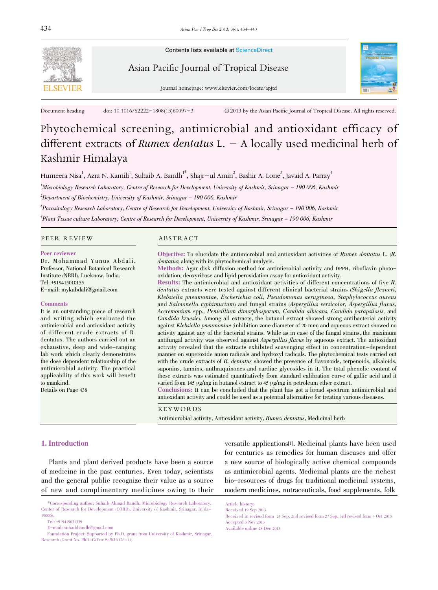

Contents lists available at ScienceDirect

# Asian Pacific Journal of Tropical Disease



journal homepage: www.elsevier.com/locate/apjtd

Document heading doi: 10.1016/S2222-1808(13)60097-3 © 2013 by the Asian Pacific Journal of Tropical Disease. All rights reserved.

# Phytochemical screening, antimicrobial and antioxidant efficacy of different extracts of Rumex dentatus  $L - A$  locally used medicinal herb of Kashmir Himalaya

Humeera Nisa $^1$ , Azra N. Kamili $^1$ , Suhaib A. Bandh $^{1*}$ , Shajr $-$ ul Amin $^2$ , Bashir A. Lone $^3$ , Javaid A. Parray $^4$ 

1 Microbiology Research Laboratory, Centre of Research for Development, University of Kashmir, Srinagar - 190 006, Kashmir  $^2$ Department of Biochemistry, University of Kashmir, Srinagar – 190 006, Kashmir

3 Parasitology Research Laboratory, Centre of Research for Development, University of Kashmir, Srinagar - 190 006, Kashmir 4 Plant Tissue culture Laboratory, Centre of Research for Development, University of Kashmir, Srinagar - 190 006, Kashmir

#### PEER REVIEW ABSTRACT

#### Peer reviewer

Dr. Mohammad Yunus Abdali, Professor, National Botanical Research Institute (NBRI), Lucknow, India. Tel: +919415010155 E-mail: mykabdali@gmail.com

#### **Comments**

It is an outstanding piece of research and writing which evaluated the antimicrobial and antioxidant activity of different crude extracts of R. dentatus. The authors carried out an exhaustive, deep and wide-ranging lab work which clearly demonstrates the dose dependent relationship of the antimicrobial activity. The practical applicability of this work will benefit to mankind.

Details on Page 438

Objective: To elucidate the antimicrobial and antioxidant activities of Rumex dentatus L. (R. dentatus) along with its phytochemical analysis.

Methods: Agar disk diffusion method for antimicrobial activity and DPPH, riboflavin photooxidation, deoxyribose and lipid peroxidation assay for antioxidant activity.

Results: The antimicrobial and antioxidant activities of different concentrations of five R. dentatus extracts were tested against different clinical bacterial strains (Shigella flexneri, Klebsiella pneumoniae, Escherichia coli, Pseudomonas aeruginosa, Staphylococcus aureus and Salmonella typhimurium) and fungal strains (Aspergillus versicolor, Aspergillus flavus, Accremonium spp., Penicillium dimorphosporum, Candida albicans, Candida parapsilosis, and Candida kruesie). Among all extracts, the butanol extract showed strong antibacterial activity against Klebsiella pneumoniae (inhibition zone diameter of <sup>20</sup> mm) and aqueous extract showed no activity against any of the bacterial strains. While as in case of the fungal strains, the maximum antifungal activity was observed against Aspergillus flavus by aqueous extract. The antioxidant activity revealed that the extracts exhibited scavenging effect in concentration-dependent manner on superoxide anion radicals and hydroxyl radicals. The phytochemical tests carried out with the crude extracts of R. dentatus showed the presence of flavonoids, terpenoids, alkaloids, saponins, tannins, anthraquinones and cardiac glycosides in it. The total phenolic content of these extracts was estimated quantitatively from standard calibration curve of gallic acid and it varied from 145 µg/mg in butanol extract to 45 µg/mg in petroleum ether extract.

Conclusions: It can be concluded that the plant has got a broad spectrum antimicrobial and antioxidant activity and could be used as a potential alternative for treating various diseases.

KEYWORDS

Antimicrobial activity, Antioxidant activity, Rumex dentatus, Medicinal herb

# 1. Introduction

Plants and plant derived products have been a source of medicine in the past centuries. Even today, scientists and the general public recognize their value as a source of new and complimentary medicines owing to their

\*Corresponding author: Suhaib Ahmad Bandh, Microbiology Research Laboratory, Center of Research for Development (CORD), University of Kashmir, Srinagar, Inida-190006.

E-mail: suhaibbandh@gmail.com

Foundation Project: Supported by Ph.D. grant from University of Kashmir, Srinagar. Research (Grant No. PhD-G/Env.Sc/KU/176-11).

versatile applications[1]. Medicinal plants have been used for centuries as remedies for human diseases and offer a new source of biologically active chemical compounds as antimicrobial agents. Medicinal plants are the richest bio-resources of drugs for traditional medicinal systems, modern medicines, nutraceuticals, food supplements, folk

Article history: Received 19 Sep 2013

Tel: +919419031339

Received in revised form 24 Sep, 2nd revised form 27 Sep, 3rd revised form 4 Oct 2013 Accepted 3 Nov 2013 Available online 28 Dec 2013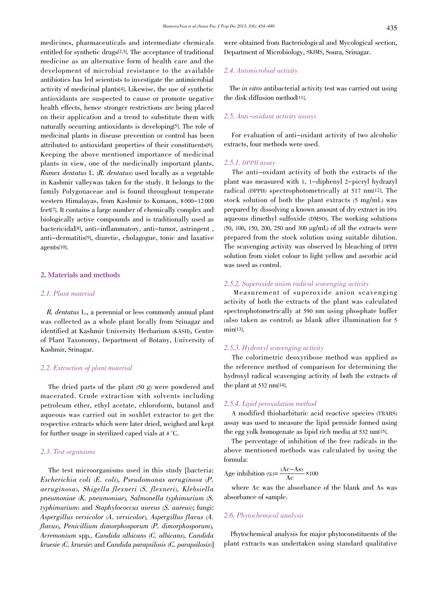medicines, pharmaceuticals and intermediate chemicals entitled for synthetic drugs[2,3]. The acceptance of traditional medicine as an alternative form of health care and the development of microbial resistance to the available antibiotics has led scientists to investigate the antimicrobial activity of medicinal plants[4]. Likewise, the use of synthetic antioxidants are suspected to cause or promote negative health effects, hence stronger restrictions are being placed on their application and a trend to substitute them with naturally occurring antioxidants is developing<sup>5]</sup>. The role of medicinal plants in disease prevention or control has been attributed to antioxidant properties of their constituents[6]. Keeping the above mentioned importance of medicinal plants in view, one of the medicinally important plants, Rumex dentatus L. (R. dentatus) used locally as a vegetable in Kashmir valleywas taken for the study. It belongs to the family Polygonaceae and is found throughout temperate western Himalayas, from Kashmir to Kumaon, 8 000-12 000 feet[7]. It contains a large number of chemically complex and biologically active compounds and is traditionally used as bactericidal[8], anti-inflammatory, anti-tumor, astringent , anti-dermatitis[9], diuretic, cholagogue, tonic and laxative agents[10].

#### 2. Materials and methods

# 2.1. Plant material

R. dentatus L., a perennial or less commonly annual plant was collected as a whole plant locally from Srinagar and identified at Kashmir University Herbarium (KASH), Centre of Plant Taxonomy, Department of Botany, University of Kashmir, Srinagar.

# 2.2. Extraction of plant material

The dried parts of the plant (50 g) were powdered and macerated. Crude extraction with solvents including petroleum ether, ethyl acetate, chloroform, butanol and aqueous was carried out in soxhlet extractor to get the respective extracts which were later dried, weighed and kept for further usage in sterilized caped vials at 4 °C.

# 2.3. Test organisms

The test microorganisms used in this study [bacteria: Escherichia coli (E. coli), Pseudomonas aeruginosa (P. aeruginosa), Shigella flexneri (S. flexneri), Klebsiella pneumoniae (K. pneumoniae), Salmonella typhimurium (S. typhimurium) and Staphylococcus aureus (S. aureus); fungi: Aspergillus versicolor (A. versicolor), Aspergillus flavus (A. flavus), Penicillium dimorphosporum (P. dimorphosporum), Acremonium spp., Candida albicans (C. albicans), Candida kruesie (C. kruesie) and Candida parapsilosis (C. parapsilosis)] were obtained from Bacteriological and Mycological section, Department of Microbiology, SKIMS, Soura, Srinagar.

# 2.4. Antimicrobial activity

The in vitro antibacterial activity test was carried out using the disk diffusion method[11].

# 2.5. Anti-oxidant activity assays

For evaluation of anti-oxidant activity of two alcoholic extracts, four methods were used.

# 2.5.1. DPPH assay

The anti-oxidant activity of both the extracts of the plant was measured with 1, 1-diphenyl 2-picryl hydrazyl radical (DPPH) spectrophotometrically at 517 nm[12]. The stock solution of both the plant extracts (5 mg/mL) was prepared by dissolving a known amount of dry extract in 10% aqueous dimethyl sulfoxide (DMSO). The working solutions (50, 100, 150, 200, 250 and 300 µg/mL) of all the extracts were prepared from the stock solution using suitable dilution. The scavenging activity was observed by bleaching of DPPH solution from violet colour to light yellow and ascorbic acid was used as control.

# 2.5.2. Superoxide anion radical scavenging activity

Measurement of superoxide anion scavenging activity of both the extracts of the plant was calculated spectrophotometrically at 590 nm using phosphate buffer (also taken as control) as blank after illumination for 5 min[13].

#### 2.5.3. Hydroxyl scavenging activity

The colorimetric deoxyribose method was applied as the reference method of comparison for determining the hydroxyl radical scavenging activity of both the extracts of the plant at 532 nm[14].

# 2.5.4. Lipid peroxidation method

A modified thiobarbituric acid reactive species (TBARS) assay was used to measure the lipid peroxide formed using the egg yolk homogenate as lipid rich media at 532 nm[15].

The percentage of inhibition of the free radicals in the above mentioned methods was calculated by using the formula:

Age inhibition (
$$
\% = \frac{(Ac-As)}{Ac} \times 100
$$

where Ac was the absorbance of the blank and As was absorbance of sample.

# 2.6. Phytochemical analysis

Phytochemical analysis for major phytoconstituents of the plant extracts was undertaken using standard qualitative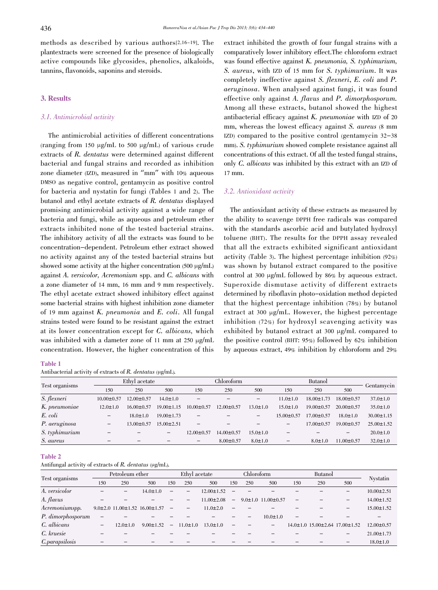methods as described by various authors[2,16-19]. The plantextracts were screened for the presence of biologically active compounds like glycosides, phenolics, alkaloids, tannins, flavonoids, saponins and steroids.

# 3. Results

# 3.1. Antimicrobial activity

The antimicrobial activities of different concentrations (ranging from 150  $\mu$ g/mL to 500  $\mu$ g/mL) of various crude extracts of R. dentatus were determined against different bacterial and fungal strains and recorded as inhibition zone diameter (IZD), measured in "mm" with 10% aqueous DMSO as negative control, gentamycin as positive control for bacteria and nystatin for fungi (Tables 1 and 2). The butanol and ethyl acetate extracts of R. dentatus displayed promising antimicrobial activity against a wide range of bacteria and fungi, while as aqueous and petroleum ether extracts inhibited none of the tested bacterial strains. The inhibitory activity of all the extracts was found to be concentration-dependent. Petroleum ether extract showed no activity against any of the tested bacterial strains but showed some activity at the higher concentration  $(500 \mu g/mL)$ against A. versicolor, Acremonium spp. and C. albicans with a zone diameter of 14 mm, 16 mm and 9 mm respectively. The ethyl acetate extract showed inhibitory effect against some bacterial strains with highest inhibition zone diameter of <sup>19</sup> mm against K. pneumonia and E. coli. All fungal strains tested were found to be resistant against the extract at its lower concentration except for C. albicans, which was inhibited with a dameter zone of 11 mm at 250 µg/mL concentration. However, the higher concentration of this

#### Table 1

Antibacterial activity of extracts of  $R$ . dentatus ( $\mu$ g/mL).

extract inhibited the growth of four fungal strains with a comparatively lower inhibitory effect.The chloroform extract was found effective against K. pneumonia, S. typhimurium, S. aureus, with IZD of 15 mm for S. typhimurium. It was completely ineffective against S. flexneri, E. coli and P. aeruginosa. When analysed against fungi, it was found effective only against A. flavus and P. dimorphosporum. Among all these extracts, butanol showed the highest antibacterial efficacy against K. pneumoniae with IZD of <sup>20</sup> mm, whereas the lowest efficacy against S. aureus (8 mm IZD) compared to the positive control (gentamycin 32-38 mm). S. typhimurium showed complete resistance against all concentrations of this extract. Of all the tested fungal strains, only C. albicans was inhibited by this extract with an IZD of 17 mm.

#### 3.2. Antioxidant activity

The antioxidant activity of these extracts as measured by the ability to scavenge DPPH free radicals was compared with the standards ascorbic acid and butylated hydroxyl toluene (BHT). The results for the DPPH assay revealed that all the extracts exhibited significant antioxidant activity (Table 3). The highest percentage inhibition (92%) was shown by butanol extract compared to the positive control at 300 µg/mL followed by 86% by aqueous extract. Superoxide dismutase activity of different extracts determined by riboflavin photo-oxidation method depicted that the highest percentage inhibition (78%) by butanol extract at 300 µg/mL. However, the highest percentage inhibition (72%) for hydroxyl scavenging activity was exhibited by butanol extract at 300 µg/mL compared to the positive control (BHT: 95%) followed by 62% inhibition by aqueous extract, 49% inhibition by chloroform and 29%

|                |                          | Ethyl acetate            |                          |                          | Chloroform       |                          |                                         |                  |                   |                  |
|----------------|--------------------------|--------------------------|--------------------------|--------------------------|------------------|--------------------------|-----------------------------------------|------------------|-------------------|------------------|
| Test organisms | 150                      | 250                      | 500                      | 150                      | 250              | 500                      | 150                                     | 250              | 500               | Gentamycin       |
| S. flexneri    | $10.00 \pm 0.57$         | $12.00 \pm 0.57$         | $14.0 \pm 1.0$           |                          |                  | $\qquad \qquad -$        | $11.0 \pm 1.0$                          | $18.00 \pm 1.73$ | $18.00 \pm 0.57$  | $37.0 \pm 1.0$   |
| K. pneumoniae  | $12.0 \pm 1.0$           | $16.00 \pm 0.57$         | $19.00 \pm 1.15$         | $10.00 \pm 0.57$         | $12.00 \pm 0.57$ | $13.0 \pm 1.0$           | $15.0 \pm 1.0$                          | $19.00 \pm 0.57$ | $20.00 \pm 0.57$  | $35.0 \pm 1.0$   |
| E. coli        | $\qquad \qquad -$        | $18.0 \pm 1.0$           | $19.00 \pm 1.73$         |                          |                  | $\overline{\phantom{m}}$ | $15.00 \pm 0.57$                        | $17.00 \pm 0.57$ | $18.0 \pm 1.0$    | $30.00 \pm 1.15$ |
| P. aeruginosa  | $\overline{\phantom{m}}$ | $13.00 \pm 0.57$         | $15.00 \pm 2.51$         |                          |                  |                          | $\qquad \qquad \  \  \, -\qquad \qquad$ | $17.00 \pm 0.57$ | $19.00 \pm 0.57$  | $25.00 \pm 1.52$ |
| S. typhimurium |                          | $\overline{\phantom{0}}$ | $\overline{\phantom{m}}$ | $12.00 \pm 0.57$         | $14.00 \pm 0.57$ | $15.0 \pm 1.0$           |                                         |                  | $\qquad \qquad -$ | $20.0 \pm 1.0$   |
| S. aureus      | -                        | $\overline{\phantom{0}}$ |                          | $\overline{\phantom{0}}$ | $8.00 \pm 0.57$  | $8.0 \pm 1.0$            | -                                       | $8.0 \pm 1.0$    | $11.00 \pm 0.57$  | $32.0 \pm 1.0$   |

#### Table 2

Antifungal activity of extracts of  $R$ . dentatus ( $\mu$ g/mL).

|                   | Petroleum ether |                |                                             | Ethyl acetate            |                |                  | Chloroform               |     |                                | <b>Butanol</b> |                                |                          |                  |  |
|-------------------|-----------------|----------------|---------------------------------------------|--------------------------|----------------|------------------|--------------------------|-----|--------------------------------|----------------|--------------------------------|--------------------------|------------------|--|
| Test organisms    | 150             | 250            | 500                                         | 150                      | 250            | 500              | 150                      | 250 | 500                            | 150            | 250                            | 500                      | Nystatin         |  |
| A. versicolor     |                 |                | $14.0 \pm 1.0$                              | —                        | -              | $12.00 \pm 1.52$ | -                        |     |                                |                |                                | -                        | $10.00 \pm 2.51$ |  |
| A. flavus         |                 |                |                                             |                          |                | $11.00 \pm 2.08$ | -                        |     | $9.0 \pm 1.0$ 11.00 $\pm$ 0.57 |                |                                | $\overline{\phantom{0}}$ | $14.00 \pm 1.52$ |  |
| Acremoniumspp.    |                 |                | $9.0\pm2.0$ 11.00 $\pm1.52$ 16.00 $\pm1.57$ | $\qquad \qquad -$        |                | $11.0 \pm 2.0$   | $\overline{\phantom{0}}$ |     |                                |                |                                | $\overline{\phantom{0}}$ | $15.00 \pm 1.52$ |  |
| P. dimorphosporum |                 |                |                                             |                          |                |                  |                          |     | $10.0 \pm 1.0$                 |                |                                |                          |                  |  |
| C. albicans       |                 | $12.0 \pm 1.0$ | $9.00 \pm 1.52$                             | $\overline{\phantom{0}}$ | $11.0 \pm 1.0$ | $13.0 \pm 1.0$   | -                        |     |                                |                | 14.0±1.0 15.00±2.64 17.00±1.52 |                          | $12.00 \pm 0.57$ |  |
| C. kruesie        |                 |                |                                             |                          |                |                  |                          |     |                                |                |                                | $\qquad \qquad$          | $21.00 \pm 1.73$ |  |
| C.parapsilosis    |                 |                |                                             |                          |                |                  |                          |     |                                |                |                                | -                        | $18.0 \pm 1.0$   |  |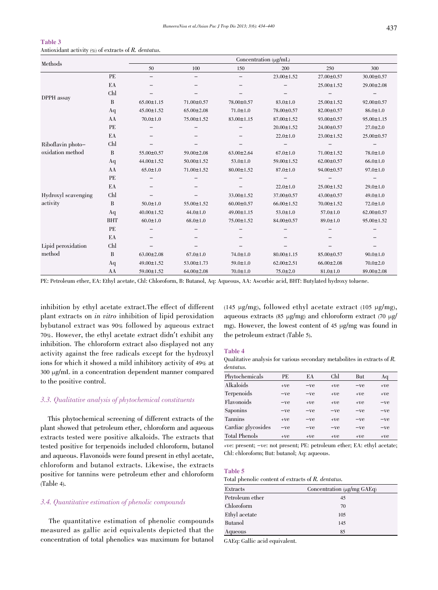|                     |            | Concentration (µg/mL) |                  |                  |                  |                  |                  |  |  |  |  |
|---------------------|------------|-----------------------|------------------|------------------|------------------|------------------|------------------|--|--|--|--|
| Methods             |            | 50                    | 100              | 150              | 200              | 250              | 300              |  |  |  |  |
|                     | PE         |                       |                  |                  | $23.00 \pm 1.52$ | 27.00±0.57       | 30.00±0.57       |  |  |  |  |
|                     | EA         |                       |                  |                  |                  | $25.00 \pm 1.52$ | 29.00±2.08       |  |  |  |  |
|                     | Chl        |                       |                  |                  |                  |                  |                  |  |  |  |  |
| DPPH assay          | B          | $65.00 \pm 1.15$      | 71.00±0.57       | 78.00±0.57       | $83.0 \pm 1.0$   | $25.00 \pm 1.52$ | $92.00 \pm 0.57$ |  |  |  |  |
|                     | Aq         | $45.00 \pm 1.52$      | $65.00 \pm 2.08$ | $71.0 \pm 1.0$   | 78.00±0.57       | 82.00±0.57       | $86.0 \pm 1.0$   |  |  |  |  |
|                     | AA         | $70.0 \pm 1.0$        | 75.00±1.52       | 83.00±1.15       | $87.00 \pm 1.52$ | $93.00 \pm 0.57$ | 95.00±1.15       |  |  |  |  |
|                     | PE         |                       |                  |                  | $20.00 \pm 1.52$ | $24.00 \pm 0.57$ | $27.0 \pm 2.0$   |  |  |  |  |
|                     | EA         |                       |                  |                  | $22.0 \pm 1.0$   | $23.00 \pm 1.52$ | 25.00±0.57       |  |  |  |  |
| Riboflavin photo-   | Chl        |                       |                  |                  |                  |                  |                  |  |  |  |  |
| oxidation method    | B          | 55.00±0.57            | 59.00±2.08       | $63.00 \pm 2.64$ | $67.0 \pm 1.0$   | $71.00 \pm 1.52$ | $78.0 \pm 1.0$   |  |  |  |  |
|                     | Aq         | 44.00±1.52            | $50.00 \pm 1.52$ | $53.0 \pm 1.0$   | 59.00±1.52       | $62.00 \pm 0.57$ | $66.0 \pm 1.0$   |  |  |  |  |
|                     | AA         | $65.0 \pm 1.0$        | 71.00±1.52       | $80.00 \pm 1.52$ | $87.0 \pm 1.0$   | 94.00±0.57       | $97.0 \pm 1.0$   |  |  |  |  |
|                     | PE         |                       |                  |                  |                  |                  |                  |  |  |  |  |
|                     | EA         |                       |                  |                  | $22.0 \pm 1.0$   | $25.00 \pm 1.52$ | $29.0 \pm 1.0$   |  |  |  |  |
| Hydroxyl scavenging | Chl        |                       |                  | $33.00 \pm 1.52$ | 37.00±0.57       | $43.00 \pm 0.57$ | $49.0 \pm 1.0$   |  |  |  |  |
| activity            | B          | $50.0 \pm 1.0$        | 55.00±1.52       | $60.00 \pm 0.57$ | $66.00 \pm 1.52$ | 70.00±1.52       | $72.0 \pm 1.0$   |  |  |  |  |
|                     | Aq         | 40.00±1.52            | $44.0 \pm 1.0$   | 49.00±1.15       | $53.0 \pm 1.0$   | $57.0 \pm 1.0$   | $62.00 \pm 0.57$ |  |  |  |  |
|                     | <b>BHT</b> | $60.0 \pm 1.0$        | $68.0 \pm 1.0$   | 75.00±1.52       | 84.00±0.57       | $89.0 \pm 1.0$   | 95.00±1.52       |  |  |  |  |
|                     | PE         |                       |                  |                  |                  |                  |                  |  |  |  |  |
|                     | EA         |                       |                  |                  |                  |                  |                  |  |  |  |  |
| Lipid peroxidation  | Chl        |                       |                  |                  |                  |                  |                  |  |  |  |  |
| method              | B          | $63.00 \pm 2.08$      | $67.0 \pm 1.0$   | $74.0 \pm 1.0$   | $80.00 \pm 1.15$ | 85.00±0.57       | $90.0 \pm 1.0$   |  |  |  |  |
|                     | Aq         | 49.00±1.52            | 53.00±1.73       | $59.0 \pm 1.0$   | $62.00 \pm 2.51$ | $66.00 \pm 2.08$ | $70.0 \pm 2.0$   |  |  |  |  |
|                     | AA         | 59.00±1.52            | $64.00 \pm 2.08$ | $70.0 \pm 1.0$   | $75.0 \pm 2.0$   | $81.0 \pm 1.0$   | 89.00±2.08       |  |  |  |  |

#### Table 3 Antioxidant activity  $(\mathcal{C})$  of extracts of R. dentatus.

PE: Petroleum ether, EA: Ethyl acetate, Chl: Chloroform, B: Butanol, Aq: Aqueous, AA: Ascorbic acid, BHT: Butylated hydroxy toluene.

inhibition by ethyl acetate extract.The effect of different plant extracts on in vitro inhibition of lipid peroxidation bybutanol extract was 90% followed by aqueous extract 70%. However, the ethyl acetate extract didn't exhibit any inhibition. The chloroform extract also displayed not any activity against the free radicals except for the hydroxyl ions for which it showed a mild inhibitory activity of 49% at 300 µg/mL in a concentration dependent manner compared to the positive control.

# 3.3. Qualitative analysis of phytochemical constituents

This phytochemical screening of different extracts of the plant showed that petroleum ether, chloroform and aqueous extracts tested were positive alkaloids. The extracts that tested positive for terpenoids included chloroform, butanol and aqueous. Flavonoids were found present in ethyl acetate, chloroform and butanol extracts. Likewise, the extracts positive for tannins were petroleum ether and chloroform (Table 4).

# 3.4. Quantitative estimation of phenolic compounds

The quantitative estimation of phenolic compounds measured as gallic acid equivalents depicted that the concentration of total phenolics was maximum for butanol (145  $\mu$ g/mg), followed ethyl acetate extract (105  $\mu$ g/mg), aqueous extracts (85  $\mu$ g/mg) and chloroform extract (70  $\mu$ g/ mg). However, the lowest content of 45 µg/mg was found in the petroleum extract (Table 5).

# Table 4

Qualitative analysis for various secondary metabolites in extracts of R. dentatus.

| Phytochemicals       | PE.   | EA    | Chl   | But   | Aq    |
|----------------------|-------|-------|-------|-------|-------|
| Alkaloids            | $+ve$ | $-ve$ | $+ve$ | $-ve$ | $+ve$ |
| Terpenoids           | $-ve$ | $-ve$ | $+ve$ | $+ve$ | $+ve$ |
| Flavonoids           | $-ve$ | $+ve$ | $+ve$ | $+ve$ | $-ve$ |
| Saponins             | $-ve$ | $-ve$ | $-ve$ | $-ve$ | $-ve$ |
| <b>Tannins</b>       | $+ve$ | $-ve$ | $+ve$ | $-ve$ | $-ve$ |
| Cardiac glycosides   | $-ve$ | $-ve$ | $-ve$ | $-ve$ | $-ve$ |
| <b>Total Phenols</b> | $+ve$ | $+ve$ | $+ve$ | $+ve$ | $+ve$ |

+ve: present; -ve: not present; PE: petroleum ether; EA: ethyl acetate; Chl: chloroform; But: butanol; Aq: aqueous.

# Table 5

Total phenolic content of extracts of R. dentatus.

| Extracts        | Concentration $(\mu g/mg \ GAEq)$ |  |  |  |  |
|-----------------|-----------------------------------|--|--|--|--|
| Petroleum ether | 45                                |  |  |  |  |
| Chloroform      | 70                                |  |  |  |  |
| Ethyl acetate   | 105                               |  |  |  |  |
| <b>Butanol</b>  | 145                               |  |  |  |  |
| Aqueous         | 85                                |  |  |  |  |

GAEq: Gallic acid equivalent.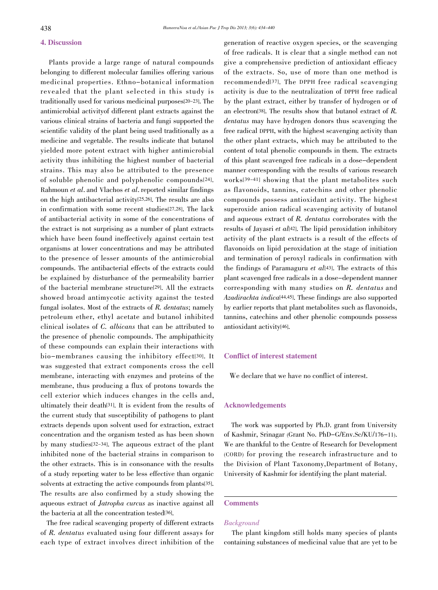# 4. Discussion

Plants provide a large range of natural compounds belonging to different molecular families offering various medicinal properties. Ethno-botanical information revealed that the plant selected in this study is traditionally used for various medicinal purposes[20-23]. The antimicrobial activityof different plant extracts against the various clinical strains of bacteria and fungi supported the scientific validity of the plant being used traditionally as a medicine and vegetable. The results indicate that butanol yielded more potent extract with higher antimicrobial activity thus inhibiting the highest number of bacterial strains. This may also be attributed to the presence of soluble phenolic and polyphenolic compounds[24]. Rahmoun et al. and Vlachos et al. reported similar findings on the high antibacterial activity[25,26]. The results are also in confirmation with some recent studies[27,28]. The lack of antibacterial activity in some of the concentrations of the extract is not surprising as a number of plant extracts which have been found ineffectively against certain test organisms at lower concentrations and may be attributed to the presence of lesser amounts of the antimicrobial compounds. The antibacterial effects of the extracts could be explained by disturbance of the permeability barrier of the bacterial membrane structure[29]. All the extracts showed broad antimycotic activity against the tested fungal isolates. Most of the extracts of R. dentatus; namely petroleum ether, ethyl acetate and butanol inhibited clinical isolates of C. albicans that can be attributed to the presence of phenolic compounds. The amphipathicity of these compounds can explain their interactions with bio-membranes causing the inhibitory effect[30]. It was suggested that extract components cross the cell membrane, interacting with enzymes and proteins of the membrane, thus producing a flux of protons towards the cell exterior which induces changes in the cells and, ultimately their death[31]. It is evident from the results of the current study that susceptibility of pathogens to plant extracts depends upon solvent used for extraction, extract concentration and the organism tested as has been shown by many studies[32-34]. The aqueous extract of the plant inhibited none of the bacterial strains in comparison to the other extracts. This is in consonance with the results of a study reporting water to be less effective than organic solvents at extracting the active compounds from plants[35]. The results are also confirmed by a study showing the aqueous extract of Jatropha curcus as inactive against all the bacteria at all the concentration tested[36].

The free radical scavenging property of different extracts of R. dentatus evaluated using four different assays for each type of extract involves direct inhibition of the

generation of reactive oxygen species, or the scavenging of free radicals. It is clear that a single method can not give a comprehensive prediction of antioxidant efficacy of the extracts. So, use of more than one method is recommended[37]. The DPPH free radical scavenging activity is due to the neutralization of DPPH free radical by the plant extract, either by transfer of hydrogen or of an electron<sup>[38]</sup>. The results show that butanol extract of  $R$ . dentatus may have hydrogen donors thus scavenging the free radical DPPH, with the highest scavenging activity than the other plant extracts, which may be attributed to the content of total phenolic compounds in them. The extracts of this plant scavenged free radicals in a dose-dependent manner corresponding with the results of various research works[39-41] showing that the plant metabolites such as flavonoids, tannins, catechins and other phenolic compounds possess antioxidant activity. The highest superoxide anion radical scavenging activity of butanol and aqueous extract of R. dentatus corroborates with the results of Jayasri et al<sup>[42]</sup>. The lipid peroxidation inhibitory activity of the plant extracts is a result of the effects of flavonoids on lipid peroxidation at the stage of initiation and termination of peroxyl radicals in confirmation with the findings of Paramaguru *et al*[43]. The extracts of this plant scavenged free radicals in a dose-dependent manner corresponding with many studies on R. dentatus and Azadirachta indica[44,45]. These findings are also supported by earlier reports that plant metabolites such as flavonoids, tannins, catechins and other phenolic compounds possess antioxidant activity[46].

# Conflict of interest statement

We declare that we have no conflict of interest.

# Acknowledgements

The work was supported by Ph.D. grant from University of Kashmir, Srinagar (Grant No. PhD-G/Env.Sc/KU/176-11). We are thankful to the Centre of Research for Development (CORD) for proving the research infrastructure and to the Division of Plant Taxonomy,Department of Botany, University of Kashmir for identifying the plant material.

# Comments

# Background

The plant kingdom still holds many species of plants containing substances of medicinal value that are yet to be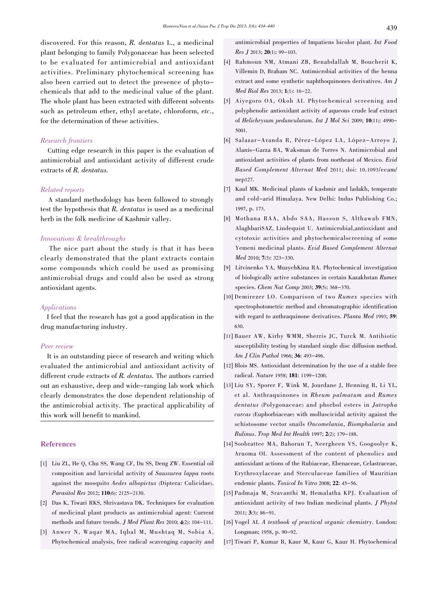discovered. For this reason, R. dentatus L., a medicinal plant belonging to family Polygonaceae has been selected to be evaluated for antimicrobial and antioxidant activities. Preliminary phytochemical screening has also been carried out to detect the presence of phytochemicals that add to the medicinal value of the plant. The whole plant has been extracted with different solvents such as petroleum ether, ethyl acetate, chloroform, etc., for the determination of these activities.

# Research frontiers

Cutting edge research in this paper is the evaluation of antimicrobial and antioxidant activity of different crude extracts of R. dentatus.

# Related reports

A standard methodology has been followed to strongly test the hypothesis that R. dentatus is used as a medicinal herb in the folk medicine of Kashmir valley.

# Innovations & breakthroughs

The nice part about the study is that it has been clearly demonstrated that the plant extracts contain some compounds which could be used as promising antimicrobial drugs and could also be used as strong antioxidant agents.

# Applications

I feel that the research has got a good application in the drug manufacturing industry.

#### Peer review

It is an outstanding piece of research and writing which evaluated the antimicrobial and antioxidant activity of different crude extracts of R. dentatus. The authors carried out an exhaustive, deep and wide-ranging lab work which clearly demonstrates the dose dependent relationship of the antimicrobial activity. The practical applicability of this work will benefit to mankind.

# References

- [1] Liu ZL, He Q, Chu SS, Wang CF, Du SS, Deng ZW. Essential oil composition and larvicidal activity of Saussurea lappa roots against the mosquito Aedes albopictus (Diptera: Culicidae). Parasitol Res 2012; 110(6): 2125-2130.
- [2] Das K, Tiwari RKS, Shrivastava DK. Techniques for evaluation of medicinal plant products as antimicrobial agent: Current methods and future trends. J Med Plant Res 2010; 4(2): 104-111.
- [3] Anwer N, Waqar MA, Iqbal M, Mushtaq M, Sobia A. Phytochemical analysis, free radical scavenging capacity and

antimicrobial properties of Impatiens bicolor plant. Int Food Res J 2013; 20(1): 99-103.

- [4] Rahmoun NM, Atmani ZB, Benabdallah M, Boucherit K, Villemin D, Braham NC. Antimicrobial activities of the henna extract and some synthetic naphthoquinones derivatives. Am J Med Biol Res 2013; 1(1): 16-22.
- [5] Aiyegoro OA, Okoh AI. Phytochemical screening and polyphenolic antioxidant activity of aqueous crude leaf extract of Helichrysum pedunculatum. Int J Mol Sci 2009; 10(11): 4990- 5001.
- [6] Salazar-Aranda R, Pérez-López LA, López-Arroyo J, Alanís-Garza BA, Waksman de Torres N. Antimicrobial and antioxidant activities of plants from northeast of Mexico. Evid Based Complement Alternat Med 2011; doi: 10.1093/ecam/ nep127.
- [7] Kaul MK. Medicinal plants of kashmir and ladakh, temperate and cold-arid Himalaya. New Delhi: Indus Publishing Co.; 1997, p. 173.
- [8] Mothana RAA, Abdo SAA, Hasson S, Althawab FMN, AlaghbariSAZ, Lindequist U. Antimicrobial,antioxidant and cytotoxic activities and phytochemicalscreening of some Yemeni medicinal plants. Evid Based Complement Alternat Med 2010; 7(3): 323-330.
- [9] Litvinenko YA, MuzychKina RA. Phytochemical investigation of biologically active substances in certain Kazakhstan Rumex species. Chem Nat Comp 2003; 39(5): 368-370.
- [10] Demirezer LO. Comparison of two Rumex species with spectrophotometric method and chromatographic identification with regard to anthraquinone derivatives. Planta Med 1993; 59: 630.
- [11] Bauer AW, Kirby WMM, Sherris JC, Turck M. Antibiotic susceptibility testing by standard single disc diffusion method. Am J Clin Pathol 1966; 36: 493-496.
- [12] Blois MS. Antioxidant determination by the use of a stable free radical. Nature 1958; 181: 1199-1200.
- [13] Liu SY, Sporer F, Wink M, Jourdane J, Henning R, Li YL, et al. Anthraquinones in Rheum palmatum and Rumex dentatus (Polygonaceae) and phorbol esters in Jatropha curcas (Euphorbiaceae) with molluscicidal activity against the schistosome vector snails Oncomelania, Biomphalaria and Bulinus. Trop Med Int Health 1997; 2(2): 179-188.
- [14] Soobrattee MA, Bahorun T, Neergheen VS, Googoolye K, Aruoma OI. Assessment of the content of phenolics and antioxidant actions of the Rubiaceae, Ebenaceae, Celastraceae, Erythroxylaceae and Sterculaceae families of Mauritian endemic plants. Toxicol In Vitro 2008; 22: 45-56.
- [15] Padmaja M, Sravanthi M, Hemalatha KPJ. Evaluation of antioxidant activity of two Indian medicinal plants. J Phytol 2011; 3(3): 86-91.
- [16] Vogel AI. A textbook of practical organic chemistry. London: Longman; 1958, p. 90-92.
- [17] Tiwari P, Kumar B, Kaur M, Kaur G, Kaur H. Phytochemical